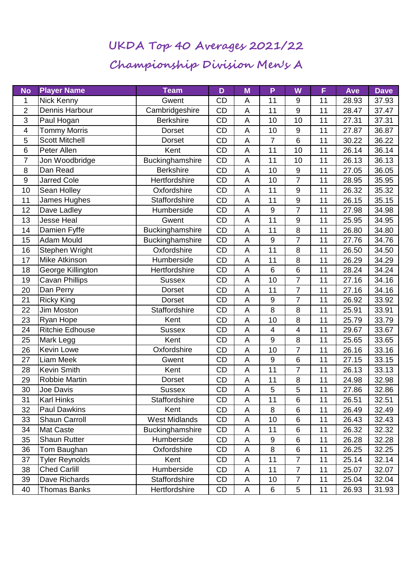## **UKDA Top 40 Averages 2021/22 Championship Division Men's A**

| <b>No</b>      | <b>Player Name</b>     | <b>Team</b>          | D         | M | P                | W                | F  | Ave   | <b>Dave</b> |
|----------------|------------------------|----------------------|-----------|---|------------------|------------------|----|-------|-------------|
| 1              | <b>Nick Kenny</b>      | Gwent                | <b>CD</b> | A | 11               | 9                | 11 | 28.93 | 37.93       |
| $\overline{2}$ | Dennis Harbour         | Cambridgeshire       | CD        | A | 11               | 9                | 11 | 28.47 | 37.47       |
| 3              | Paul Hogan             | <b>Berkshire</b>     | <b>CD</b> | A | 10               | 10               | 11 | 27.31 | 37.31       |
| $\overline{4}$ | <b>Tommy Morris</b>    | Dorset               | CD        | A | 10               | $\boldsymbol{9}$ | 11 | 27.87 | 36.87       |
| 5              | <b>Scott Mitchell</b>  | <b>Dorset</b>        | <b>CD</b> | A | $\overline{7}$   | 6                | 11 | 30.22 | 36.22       |
| 6              | Peter Allen            | Kent                 | CD        | A | 11               | 10               | 11 | 26.14 | 36.14       |
| $\overline{7}$ | Jon Woodbridge         | Buckinghamshire      | CD        | A | 11               | 10               | 11 | 26.13 | 36.13       |
| 8              | Dan Read               | <b>Berkshire</b>     | <b>CD</b> | A | 10               | $\boldsymbol{9}$ | 11 | 27.05 | 36.05       |
| $9\,$          | <b>Jarred Cole</b>     | Hertfordshire        | CD        | A | 10               | $\overline{7}$   | 11 | 28.95 | 35.95       |
| 10             | Sean Holley            | Oxfordshire          | CD        | A | 11               | 9                | 11 | 26.32 | 35.32       |
| 11             | James Hughes           | Staffordshire        | CD        | A | 11               | 9                | 11 | 26.15 | 35.15       |
| 12             | Dave Ladley            | Humberside           | CD        | A | 9                | $\overline{7}$   | 11 | 27.98 | 34.98       |
| 13             | <b>Jesse Heal</b>      | Gwent                | CD        | A | 11               | $\boldsymbol{9}$ | 11 | 25.95 | 34.95       |
| 14             | Damien Fyffe           | Buckinghamshire      | CD        | A | 11               | 8                | 11 | 26.80 | 34.80       |
| 15             | <b>Adam Mould</b>      | Buckinghamshire      | CD        | A | $\boldsymbol{9}$ | $\overline{7}$   | 11 | 27.76 | 34.76       |
| 16             | Stephen Wright         | Oxfordshire          | CD        | A | 11               | 8                | 11 | 26.50 | 34.50       |
| 17             | <b>Mike Atkinson</b>   | Humberside           | CD        | A | 11               | 8                | 11 | 26.29 | 34.29       |
| 18             | George Killington      | Hertfordshire        | <b>CD</b> | A | 6                | $\,6$            | 11 | 28.24 | 34.24       |
| 19             | <b>Cavan Phillips</b>  | <b>Sussex</b>        | CD        | A | 10               | $\overline{7}$   | 11 | 27.16 | 34.16       |
| 20             | Dan Perry              | <b>Dorset</b>        | <b>CD</b> | A | 11               | $\overline{7}$   | 11 | 27.16 | 34.16       |
| 21             | <b>Ricky King</b>      | <b>Dorset</b>        | CD        | A | $\boldsymbol{9}$ | $\overline{7}$   | 11 | 26.92 | 33.92       |
| 22             | Jim Moston             | Staffordshire        | <b>CD</b> | A | 8                | 8                | 11 | 25.91 | 33.91       |
| 23             | Ryan Hope              | Kent                 | CD        | A | 10               | 8                | 11 | 25.79 | 33.79       |
| 24             | <b>Ritchie Edhouse</b> | <b>Sussex</b>        | CD        | A | 4                | 4                | 11 | 29.67 | 33.67       |
| 25             | Mark Legg              | Kent                 | <b>CD</b> | A | $9\,$            | 8                | 11 | 25.65 | 33.65       |
| 26             | <b>Kevin Lowe</b>      | Oxfordshire          | CD        | A | 10               | 7                | 11 | 26.16 | 33.16       |
| 27             | Liam Meek              | Gwent                | <b>CD</b> | A | 9                | 6                | 11 | 27.15 | 33.15       |
| 28             | <b>Kevin Smith</b>     | Kent                 | CD        | A | 11               | $\overline{7}$   | 11 | 26.13 | 33.13       |
| 29             | <b>Robbie Martin</b>   | Dorset               | CD        | A | 11               | 8                | 11 | 24.98 | 32.98       |
| 30             | Joe Davis              | <b>Sussex</b>        | CD        | A | 5                | 5                | 11 | 27.86 | 32.86       |
| 31             | <b>Karl Hinks</b>      | Staffordshire        | CD        | A | 11               | 6                | 11 | 26.51 | 32.51       |
| 32             | <b>Paul Dawkins</b>    | Kent                 | CD        | A | 8                | 6                | 11 | 26.49 | 32.49       |
| 33             | Shaun Carroll          | <b>West Midlands</b> | CD        | A | 10               | 6                | 11 | 26.43 | 32.43       |
| 34             | <b>Mat Caste</b>       | Buckinghamshire      | CD        | A | 11               | $6\phantom{1}$   | 11 | 26.32 | 32.32       |
| 35             | <b>Shaun Rutter</b>    | Humberside           | CD        | A | 9                | 6                | 11 | 26.28 | 32.28       |
| 36             | Tom Baughan            | Oxfordshire          | CD        | A | 8                | 6                | 11 | 26.25 | 32.25       |
| 37             | <b>Tyler Reynolds</b>  | Kent                 | CD        | A | 11               | $\overline{7}$   | 11 | 25.14 | 32.14       |
| 38             | <b>Ched Carlill</b>    | Humberside           | CD        | A | 11               | $\overline{7}$   | 11 | 25.07 | 32.07       |
| 39             | Dave Richards          | Staffordshire        | CD        | A | 10               | $\overline{7}$   | 11 | 25.04 | 32.04       |
| 40             | <b>Thomas Banks</b>    | Hertfordshire        | CD        | A | 6                | 5                | 11 | 26.93 | 31.93       |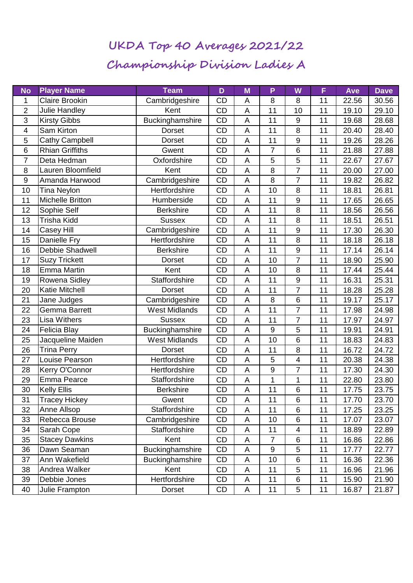## **UKDA Top 40 Averages 2021/22 Championship Division Ladies A**

| <b>No</b>                | <b>Player Name</b>     | <b>Team</b>          | D         | M | P                | W                | F  | Ave   | <b>Dave</b> |
|--------------------------|------------------------|----------------------|-----------|---|------------------|------------------|----|-------|-------------|
| $\mathbf{1}$             | <b>Claire Brookin</b>  | Cambridgeshire       | <b>CD</b> | A | 8                | 8                | 11 | 22.56 | 30.56       |
| $\overline{2}$           | Julie Handley          | Kent                 | CD        | A | 11               | 10               | 11 | 19.10 | 29.10       |
| 3                        | <b>Kirsty Gibbs</b>    | Buckinghamshire      | <b>CD</b> | A | 11               | 9                | 11 | 19.68 | 28.68       |
| $\overline{\mathcal{A}}$ | Sam Kirton             | Dorset               | CD        | A | 11               | 8                | 11 | 20.40 | 28.40       |
| 5                        | Cathy Campbell         | Dorset               | <b>CD</b> | A | 11               | 9                | 11 | 19.26 | 28.26       |
| 6                        | <b>Rhian Griffiths</b> | Gwent                | CD        | A | $\overline{7}$   | 6                | 11 | 21.88 | 27.88       |
| $\overline{7}$           | Deta Hedman            | Oxfordshire          | CD        | A | 5                | 5                | 11 | 22.67 | 27.67       |
| 8                        | Lauren Bloomfield      | Kent                 | <b>CD</b> | A | 8                | 7                | 11 | 20.00 | 27.00       |
| $\boldsymbol{9}$         | Amanda Harwood         | Cambridgeshire       | CD        | A | 8                | $\overline{7}$   | 11 | 19.82 | 26.82       |
| 10                       | <b>Tina Neylon</b>     | Hertfordshire        | <b>CD</b> | A | 10               | 8                | 11 | 18.81 | 26.81       |
| 11                       | Michelle Britton       | Humberside           | CD        | A | 11               | 9                | 11 | 17.65 | 26.65       |
| 12                       | Sophie Self            | <b>Berkshire</b>     | CD        | A | 11               | 8                | 11 | 18.56 | 26.56       |
| 13                       | Trisha Kidd            | <b>Sussex</b>        | <b>CD</b> | A | 11               | 8                | 11 | 18.51 | 26.51       |
| 14                       | Casey Hill             | Cambridgeshire       | CD        | A | 11               | 9                | 11 | 17.30 | 26.30       |
| 15                       | Danielle Fry           | Hertfordshire        | <b>CD</b> | A | 11               | $\overline{8}$   | 11 | 18.18 | 26.18       |
| 16                       | Debbie Shadwell        | <b>Berkshire</b>     | CD        | A | 11               | $\boldsymbol{9}$ | 11 | 17.14 | 26.14       |
| 17                       | <b>Suzy Trickett</b>   | Dorset               | CD        | A | 10               | $\overline{7}$   | 11 | 18.90 | 25.90       |
| 18                       | <b>Emma Martin</b>     | Kent                 | <b>CD</b> | A | 10               | 8                | 11 | 17.44 | 25.44       |
| 19                       | Rowena Sidley          | Staffordshire        | <b>CD</b> | A | 11               | 9                | 11 | 16.31 | 25.31       |
| 20                       | <b>Katie Mitchell</b>  | <b>Dorset</b>        | CD        | A | 11               | $\overline{7}$   | 11 | 18.28 | 25.28       |
| 21                       | Jane Judges            | Cambridgeshire       | CD        | A | 8                | 6                | 11 | 19.17 | 25.17       |
| 22                       | Gemma Barrett          | <b>West Midlands</b> | CD        | A | 11               | $\overline{7}$   | 11 | 17.98 | 24.98       |
| 23                       | <b>Lisa Withers</b>    | <b>Sussex</b>        | CD        | A | 11               | $\overline{7}$   | 11 | 17.97 | 24.97       |
| 24                       | Felicia Blay           | Buckinghamshire      | CD        | A | $\boldsymbol{9}$ | 5                | 11 | 19.91 | 24.91       |
| 25                       | Jacqueline Maiden      | <b>West Midlands</b> | CD        | A | 10               | 6                | 11 | 18.83 | 24.83       |
| 26                       | <b>Trina Perry</b>     | <b>Dorset</b>        | CD        | A | 11               | 8                | 11 | 16.72 | 24.72       |
| 27                       | Louise Pearson         | Hertfordshire        | CD        | A | 5                | 4                | 11 | 20.38 | 24.38       |
| 28                       | Kerry O'Connor         | Hertfordshire        | CD        | A | $\boldsymbol{9}$ | $\overline{7}$   | 11 | 17.30 | 24.30       |
| 29                       | Emma Pearce            | Staffordshire        | CD        | A | $\mathbf{1}$     | 1                | 11 | 22.80 | 23.80       |
| 30                       | <b>Kelly Ellis</b>     | <b>Berkshire</b>     | <b>CD</b> | A | 11               | 6                | 11 | 17.75 | 23.75       |
| 31                       | <b>Tracey Hickey</b>   | Gwent                | CD        | Α | 11               | 6                | 11 | 17.70 | 23.70       |
| 32                       | Anne Allsop            | Staffordshire        | CD        | A | 11               | 6                | 11 | 17.25 | 23.25       |
| 33                       | Rebecca Brouse         | Cambridgeshire       | CD        | Α | 10               | 6                | 11 | 17.07 | 23.07       |
| 34                       | Sarah Cope             | Staffordshire        | CD        | A | 11               | $\overline{4}$   | 11 | 18.89 | 22.89       |
| 35                       | <b>Stacey Dawkins</b>  | Kent                 | CD        | A | $\overline{7}$   | $6\phantom{1}$   | 11 | 16.86 | 22.86       |
| 36                       | Dawn Seaman            | Buckinghamshire      | CD        | A | 9                | 5                | 11 | 17.77 | 22.77       |
| 37                       | Ann Wakefield          | Buckinghamshire      | CD        | A | 10               | $6\phantom{1}6$  | 11 | 16.36 | 22.36       |
| 38                       | Andrea Walker          | Kent                 | CD        | Α | 11               | 5                | 11 | 16.96 | 21.96       |
| 39                       | Debbie Jones           | Hertfordshire        | CD        | A | 11               | $\,6$            | 11 | 15.90 | 21.90       |
| 40                       | Julie Frampton         | Dorset               | CD        | Α | 11               | 5                | 11 | 16.87 | 21.87       |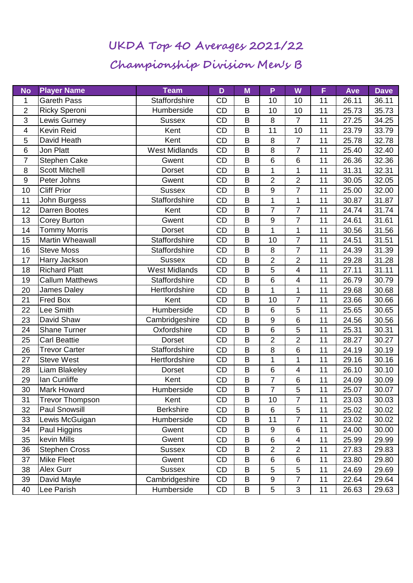## **UKDA Top 40 Averages 2021/22 Championship Division Men's B**

| <b>No</b>      | <b>Player Name</b>     | <b>Team</b>          | D         | M | P                | W              | F  | Ave   | <b>Dave</b> |
|----------------|------------------------|----------------------|-----------|---|------------------|----------------|----|-------|-------------|
| 1              | <b>Gareth Pass</b>     | <b>Staffordshire</b> | <b>CD</b> | B | 10               | 10             | 11 | 26.11 | 36.11       |
| $\overline{2}$ | <b>Ricky Speroni</b>   | Humberside           | <b>CD</b> | B | 10               | 10             | 11 | 25.73 | 35.73       |
| 3              | Lewis Gurney           | <b>Sussex</b>        | <b>CD</b> | B | 8                | 7              | 11 | 27.25 | 34.25       |
| $\overline{4}$ | <b>Kevin Reid</b>      | Kent                 | CD        | B | 11               | 10             | 11 | 23.79 | 33.79       |
| 5              | David Heath            | Kent                 | <b>CD</b> | B | 8                | $\overline{7}$ | 11 | 25.78 | 32.78       |
| 6              | Jon Platt              | <b>West Midlands</b> | CD        | B | 8                | $\overline{7}$ | 11 | 25.40 | 32.40       |
| $\overline{7}$ | Stephen Cake           | Gwent                | CD        | B | 6                | 6              | 11 | 26.36 | 32.36       |
| 8              | <b>Scott Mitchell</b>  | <b>Dorset</b>        | <b>CD</b> | B | 1                | 1              | 11 | 31.31 | 32.31       |
| $9\,$          | Peter Johns            | Gwent                | CD        | B | $\overline{2}$   | $\overline{2}$ | 11 | 30.05 | 32.05       |
| 10             | <b>Cliff Prior</b>     | <b>Sussex</b>        | <b>CD</b> | B | $9\,$            | $\overline{7}$ | 11 | 25.00 | 32.00       |
| 11             | John Burgess           | <b>Staffordshire</b> | CD        | B | 1                | 1              | 11 | 30.87 | 31.87       |
| 12             | Darren Bootes          | Kent                 | CD        | B | $\overline{7}$   | $\overline{7}$ | 11 | 24.74 | 31.74       |
| 13             | Corey Burton           | Gwent                | <b>CD</b> | B | $\boldsymbol{9}$ | $\overline{7}$ | 11 | 24.61 | 31.61       |
| 14             | <b>Tommy Morris</b>    | <b>Dorset</b>        | CD        | B | 1                | 1              | 11 | 30.56 | 31.56       |
| 15             | Martin Wheawall        | Staffordshire        | CD        | B | 10               | $\overline{7}$ | 11 | 24.51 | 31.51       |
| 16             | <b>Steve Moss</b>      | Staffordshire        | CD        | B | 8                | $\overline{7}$ | 11 | 24.39 | 31.39       |
| 17             | Harry Jackson          | <b>Sussex</b>        | CD        | B | 2                | $\overline{2}$ | 11 | 29.28 | 31.28       |
| 18             | <b>Richard Platt</b>   | <b>West Midlands</b> | <b>CD</b> | B | 5                | 4              | 11 | 27.11 | 31.11       |
| 19             | <b>Callum Matthews</b> | <b>Staffordshire</b> | CD        | B | 6                | 4              | 11 | 26.79 | 30.79       |
| 20             | James Daley            | Hertfordshire        | CD        | B | $\mathbf{1}$     | $\mathbf 1$    | 11 | 29.68 | 30.68       |
| 21             | <b>Fred Box</b>        | Kent                 | CD        | B | 10               | $\overline{7}$ | 11 | 23.66 | 30.66       |
| 22             | Lee Smith              | Humberside           | <b>CD</b> | B | 6                | 5              | 11 | 25.65 | 30.65       |
| 23             | David Shaw             | Cambridgeshire       | <b>CD</b> | B | $\boldsymbol{9}$ | $6\phantom{1}$ | 11 | 24.56 | 30.56       |
| 24             | <b>Shane Turner</b>    | Oxfordshire          | CD        | B | $\,6$            | 5              | 11 | 25.31 | 30.31       |
| 25             | <b>Carl Beattie</b>    | <b>Dorset</b>        | <b>CD</b> | B | $\overline{2}$   | $\overline{2}$ | 11 | 28.27 | 30.27       |
| 26             | <b>Trevor Carter</b>   | Staffordshire        | CD        | B | 8                | 6              | 11 | 24.19 | 30.19       |
| 27             | <b>Steve West</b>      | Hertfordshire        | <b>CD</b> | B | 1                | 1              | 11 | 29.16 | 30.16       |
| 28             | Liam Blakeley          | <b>Dorset</b>        | <b>CD</b> | B | $\,6$            | 4              | 11 | 26.10 | 30.10       |
| 29             | lan Cunliffe           | Kent                 | CD        | B | $\overline{7}$   | 6              | 11 | 24.09 | 30.09       |
| 30             | <b>Mark Howard</b>     | Humberside           | CD        | B | $\overline{7}$   | 5              | 11 | 25.07 | 30.07       |
| 31             | <b>Trevor Thompson</b> | Kent                 | CD        | Β | 10               | $\overline{7}$ | 11 | 23.03 | 30.03       |
| 32             | <b>Paul Snowsill</b>   | <b>Berkshire</b>     | CD        | B | 6                | 5              | 11 | 25.02 | 30.02       |
| 33             | Lewis McGuigan         | Humberside           | CD        | B | 11               | $\overline{7}$ | 11 | 23.02 | 30.02       |
| 34             | Paul Higgins           | Gwent                | CD        | B | 9                | 6              | 11 | 24.00 | 30.00       |
| 35             | kevin Mills            | Gwent                | CD        | B | $\,6$            | $\overline{4}$ | 11 | 25.99 | 29.99       |
| 36             | <b>Stephen Cross</b>   | <b>Sussex</b>        | CD        | B | $\overline{2}$   | $\overline{2}$ | 11 | 27.83 | 29.83       |
| 37             | <b>Mike Fleet</b>      | Gwent                | CD        | B | 6                | 6              | 11 | 23.80 | 29.80       |
| 38             | Alex Gurr              | <b>Sussex</b>        | CD        | B | 5                | 5              | 11 | 24.69 | 29.69       |
| 39             | David Mayle            | Cambridgeshire       | CD        | B | 9                | 7              | 11 | 22.64 | 29.64       |
| 40             | Lee Parish             | Humberside           | CD        | B | 5                | 3              | 11 | 26.63 | 29.63       |